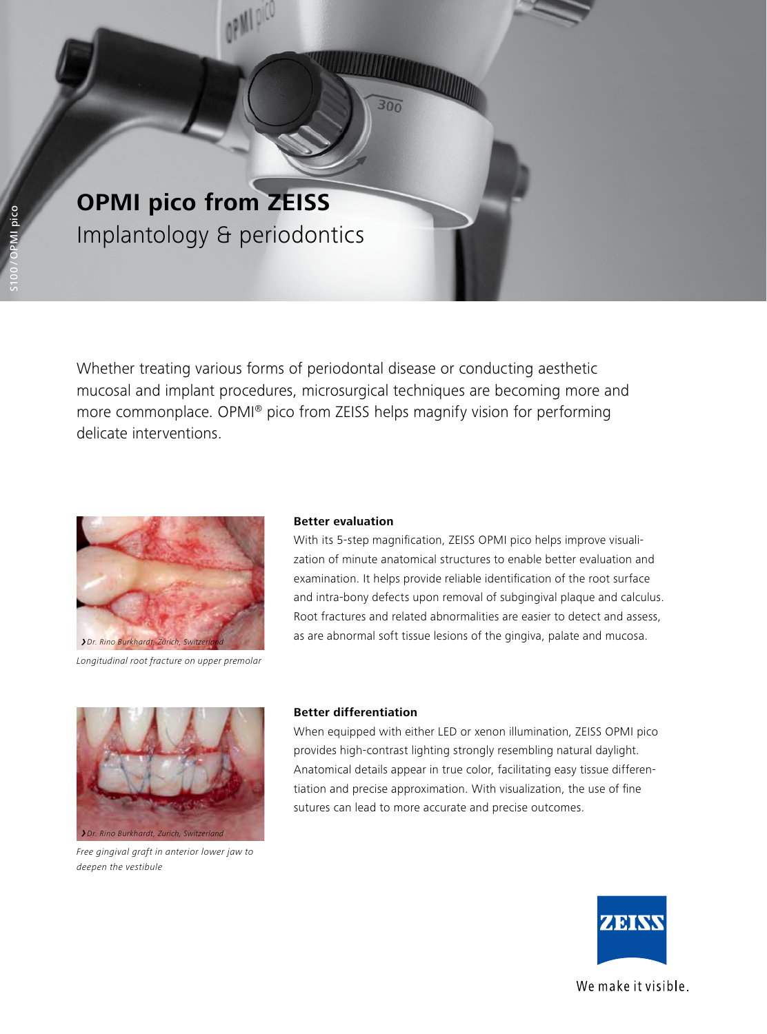

Whether treating various forms of periodontal disease or conducting aesthetic mucosal and implant procedures, microsurgical techniques are becoming more and more commonplace. OPMI® pico from ZEISS helps magnify vision for performing delicate interventions.



*Longitudinal root fracture on upper premolar*

## **Better evaluation**

With its 5-step magnification, ZEISS OPMI pico helps improve visualization of minute anatomical structures to enable better evaluation and examination. It helps provide reliable identification of the root surface and intra-bony defects upon removal of subgingival plaque and calculus. Root fractures and related abnormalities are easier to detect and assess, as are abnormal soft tissue lesions of the gingiva, palate and mucosa.



*Free gingival graft in anterior lower jaw to deepen the vestibule*

## **Better differentiation**

When equipped with either LED or xenon illumination, ZEISS OPMI pico provides high-contrast lighting strongly resembling natural daylight. Anatomical details appear in true color, facilitating easy tissue differentiation and precise approximation. With visualization, the use of fine sutures can lead to more accurate and precise outcomes.



We make it visible.